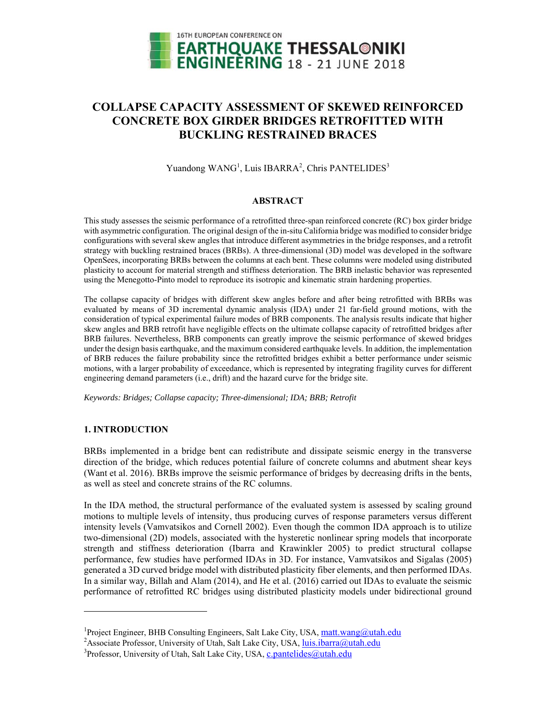

# **COLLAPSE CAPACITY ASSESSMENT OF SKEWED REINFORCED CONCRETE BOX GIRDER BRIDGES RETROFITTED WITH BUCKLING RESTRAINED BRACES**

Yuandong WANG<sup>1</sup>, Luis IBARRA<sup>2</sup>, Chris PANTELIDES<sup>3</sup>

# **ABSTRACT**

This study assesses the seismic performance of a retrofitted three-span reinforced concrete (RC) box girder bridge with asymmetric configuration. The original design of the in-situ California bridge was modified to consider bridge configurations with several skew angles that introduce different asymmetries in the bridge responses, and a retrofit strategy with buckling restrained braces (BRBs). A three-dimensional (3D) model was developed in the software OpenSees, incorporating BRBs between the columns at each bent. These columns were modeled using distributed plasticity to account for material strength and stiffness deterioration. The BRB inelastic behavior was represented using the Menegotto-Pinto model to reproduce its isotropic and kinematic strain hardening properties.

The collapse capacity of bridges with different skew angles before and after being retrofitted with BRBs was evaluated by means of 3D incremental dynamic analysis (IDA) under 21 far-field ground motions, with the consideration of typical experimental failure modes of BRB components. The analysis results indicate that higher skew angles and BRB retrofit have negligible effects on the ultimate collapse capacity of retrofitted bridges after BRB failures. Nevertheless, BRB components can greatly improve the seismic performance of skewed bridges under the design basis earthquake, and the maximum considered earthquake levels. In addition, the implementation of BRB reduces the failure probability since the retrofitted bridges exhibit a better performance under seismic motions, with a larger probability of exceedance, which is represented by integrating fragility curves for different engineering demand parameters (i.e., drift) and the hazard curve for the bridge site.

*Keywords: Bridges; Collapse capacity; Three-dimensional; IDA; BRB; Retrofit* 

# **1. INTRODUCTION**

l

BRBs implemented in a bridge bent can redistribute and dissipate seismic energy in the transverse direction of the bridge, which reduces potential failure of concrete columns and abutment shear keys (Want et al. 2016). BRBs improve the seismic performance of bridges by decreasing drifts in the bents, as well as steel and concrete strains of the RC columns.

In the IDA method, the structural performance of the evaluated system is assessed by scaling ground motions to multiple levels of intensity, thus producing curves of response parameters versus different intensity levels (Vamvatsikos and Cornell 2002). Even though the common IDA approach is to utilize two-dimensional (2D) models, associated with the hysteretic nonlinear spring models that incorporate strength and stiffness deterioration (Ibarra and Krawinkler 2005) to predict structural collapse performance, few studies have performed IDAs in 3D. For instance, Vamvatsikos and Sigalas (2005) generated a 3D curved bridge model with distributed plasticity fiber elements, and then performed IDAs. In a similar way, Billah and Alam (2014), and He et al. (2016) carried out IDAs to evaluate the seismic performance of retrofitted RC bridges using distributed plasticity models under bidirectional ground

<sup>&</sup>lt;sup>1</sup>Project Engineer, BHB Consulting Engineers, Salt Lake City, USA, matt.wang@utah.edu

<sup>&</sup>lt;sup>2</sup> Associate Professor, University of Utah, Salt Lake City, USA, *luis.ibarra@utah.edu* 

<sup>&</sup>lt;sup>3</sup>Professor, University of Utah, Salt Lake City, USA, c.pantelides@utah.edu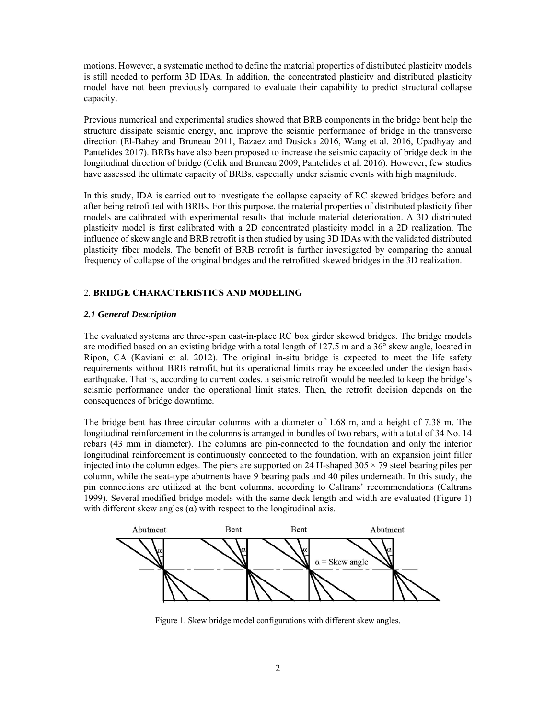motions. However, a systematic method to define the material properties of distributed plasticity models is still needed to perform 3D IDAs. In addition, the concentrated plasticity and distributed plasticity model have not been previously compared to evaluate their capability to predict structural collapse capacity.

Previous numerical and experimental studies showed that BRB components in the bridge bent help the structure dissipate seismic energy, and improve the seismic performance of bridge in the transverse direction (El-Bahey and Bruneau 2011, Bazaez and Dusicka 2016, Wang et al. 2016, Upadhyay and Pantelides 2017). BRBs have also been proposed to increase the seismic capacity of bridge deck in the longitudinal direction of bridge (Celik and Bruneau 2009, Pantelides et al. 2016). However, few studies have assessed the ultimate capacity of BRBs, especially under seismic events with high magnitude.

In this study, IDA is carried out to investigate the collapse capacity of RC skewed bridges before and after being retrofitted with BRBs. For this purpose, the material properties of distributed plasticity fiber models are calibrated with experimental results that include material deterioration. A 3D distributed plasticity model is first calibrated with a 2D concentrated plasticity model in a 2D realization. The influence of skew angle and BRB retrofit is then studied by using 3D IDAs with the validated distributed plasticity fiber models. The benefit of BRB retrofit is further investigated by comparing the annual frequency of collapse of the original bridges and the retrofitted skewed bridges in the 3D realization.

# 2. **BRIDGE CHARACTERISTICS AND MODELING**

# *2.1 General Description*

The evaluated systems are three-span cast-in-place RC box girder skewed bridges. The bridge models are modified based on an existing bridge with a total length of 127.5 m and a 36° skew angle, located in Ripon, CA (Kaviani et al. 2012). The original in-situ bridge is expected to meet the life safety requirements without BRB retrofit, but its operational limits may be exceeded under the design basis earthquake. That is, according to current codes, a seismic retrofit would be needed to keep the bridge's seismic performance under the operational limit states. Then, the retrofit decision depends on the consequences of bridge downtime.

The bridge bent has three circular columns with a diameter of 1.68 m, and a height of 7.38 m. The longitudinal reinforcement in the columns is arranged in bundles of two rebars, with a total of 34 No. 14 rebars (43 mm in diameter). The columns are pin-connected to the foundation and only the interior longitudinal reinforcement is continuously connected to the foundation, with an expansion joint filler injected into the column edges. The piers are supported on 24 H-shaped  $305 \times 79$  steel bearing piles per column, while the seat-type abutments have 9 bearing pads and 40 piles underneath. In this study, the pin connections are utilized at the bent columns, according to Caltrans' recommendations (Caltrans 1999). Several modified bridge models with the same deck length and width are evaluated (Figure 1) with different skew angles  $(\alpha)$  with respect to the longitudinal axis.



Figure 1. Skew bridge model configurations with different skew angles.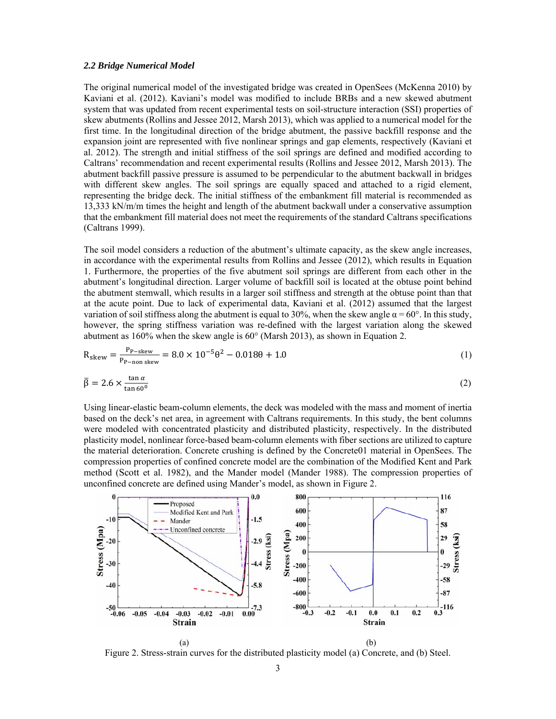#### *2.2 Bridge Numerical Model*

The original numerical model of the investigated bridge was created in OpenSees (McKenna 2010) by Kaviani et al. (2012). Kaviani's model was modified to include BRBs and a new skewed abutment system that was updated from recent experimental tests on soil-structure interaction (SSI) properties of skew abutments (Rollins and Jessee 2012, Marsh 2013), which was applied to a numerical model for the first time. In the longitudinal direction of the bridge abutment, the passive backfill response and the expansion joint are represented with five nonlinear springs and gap elements, respectively (Kaviani et al. 2012). The strength and initial stiffness of the soil springs are defined and modified according to Caltrans' recommendation and recent experimental results (Rollins and Jessee 2012, Marsh 2013). The abutment backfill passive pressure is assumed to be perpendicular to the abutment backwall in bridges with different skew angles. The soil springs are equally spaced and attached to a rigid element, representing the bridge deck. The initial stiffness of the embankment fill material is recommended as 13,333 kN/m/m times the height and length of the abutment backwall under a conservative assumption that the embankment fill material does not meet the requirements of the standard Caltrans specifications (Caltrans 1999).

The soil model considers a reduction of the abutment's ultimate capacity, as the skew angle increases, in accordance with the experimental results from Rollins and Jessee (2012), which results in Equation 1. Furthermore, the properties of the five abutment soil springs are different from each other in the abutment's longitudinal direction. Larger volume of backfill soil is located at the obtuse point behind the abutment stemwall, which results in a larger soil stiffness and strength at the obtuse point than that at the acute point. Due to lack of experimental data, Kaviani et al. (2012) assumed that the largest variation of soil stiffness along the abutment is equal to 30%, when the skew angle  $\alpha = 60^{\circ}$ . In this study, however, the spring stiffness variation was re-defined with the largest variation along the skewed abutment as 160% when the skew angle is 60° (Marsh 2013), as shown in Equation 2.

$$
R_{\text{skew}} = \frac{P_{\text{P-skew}}}{P_{\text{P-non skew}}} = 8.0 \times 10^{-5} \theta^2 - 0.018\theta + 1.0
$$
 (1)

$$
\bar{\beta} = 2.6 \times \frac{\tan \alpha}{\tan 60^\circ} \tag{2}
$$

Using linear-elastic beam-column elements, the deck was modeled with the mass and moment of inertia based on the deck's net area, in agreement with Caltrans requirements. In this study, the bent columns were modeled with concentrated plasticity and distributed plasticity, respectively. In the distributed plasticity model, nonlinear force-based beam-column elements with fiber sections are utilized to capture the material deterioration. Concrete crushing is defined by the Concrete01 material in OpenSees. The compression properties of confined concrete model are the combination of the Modified Kent and Park method (Scott et al. 1982), and the Mander model (Mander 1988). The compression properties of unconfined concrete are defined using Mander's model, as shown in Figure 2.



Figure 2. Stress-strain curves for the distributed plasticity model (a) Concrete, and (b) Steel.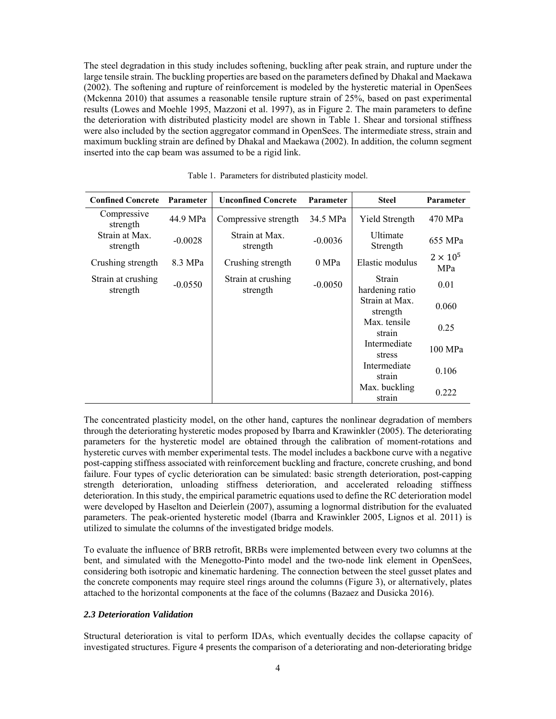The steel degradation in this study includes softening, buckling after peak strain, and rupture under the large tensile strain. The buckling properties are based on the parameters defined by Dhakal and Maekawa (2002). The softening and rupture of reinforcement is modeled by the hysteretic material in OpenSees (Mckenna 2010) that assumes a reasonable tensile rupture strain of 25%, based on past experimental results (Lowes and Moehle 1995, Mazzoni et al. 1997), as in Figure 2. The main parameters to define the deterioration with distributed plasticity model are shown in Table 1. Shear and torsional stiffness were also included by the section aggregator command in OpenSees. The intermediate stress, strain and maximum buckling strain are defined by Dhakal and Maekawa (2002). In addition, the column segment inserted into the cap beam was assumed to be a rigid link.

| <b>Confined Concrete</b>       | <b>Parameter</b> | <b>Unconfined Concrete</b>     | Parameter | <b>Steel</b>               | <b>Parameter</b>       |
|--------------------------------|------------------|--------------------------------|-----------|----------------------------|------------------------|
| Compressive<br>strength        | 44.9 MPa         | Compressive strength           | 34.5 MPa  | Yield Strength             | 470 MPa                |
| Strain at Max.<br>strength     | $-0.0028$        | Strain at Max.<br>strength     | $-0.0036$ | Ultimate<br>Strength       | 655 MPa                |
| Crushing strength              | 8.3 MPa          | Crushing strength              | 0 MPa     | Elastic modulus            | $2 \times 10^5$<br>MPa |
| Strain at crushing<br>strength | $-0.0550$        | Strain at crushing<br>strength | $-0.0050$ | Strain<br>hardening ratio  | 0.01                   |
|                                |                  |                                |           | Strain at Max.<br>strength | 0.060                  |
|                                |                  |                                |           | Max. tensile<br>strain     | 0.25                   |
|                                |                  |                                |           | Intermediate<br>stress     | 100 MPa                |
|                                |                  |                                |           | Intermediate<br>strain     | 0.106                  |
|                                |                  |                                |           | Max. buckling<br>strain    | 0.222                  |

Table 1. Parameters for distributed plasticity model.

The concentrated plasticity model, on the other hand, captures the nonlinear degradation of members through the deteriorating hysteretic modes proposed by Ibarra and Krawinkler (2005). The deteriorating parameters for the hysteretic model are obtained through the calibration of moment-rotations and hysteretic curves with member experimental tests. The model includes a backbone curve with a negative post-capping stiffness associated with reinforcement buckling and fracture, concrete crushing, and bond failure. Four types of cyclic deterioration can be simulated: basic strength deterioration, post-capping strength deterioration, unloading stiffness deterioration, and accelerated reloading stiffness deterioration. In this study, the empirical parametric equations used to define the RC deterioration model were developed by Haselton and Deierlein (2007), assuming a lognormal distribution for the evaluated parameters. The peak-oriented hysteretic model (Ibarra and Krawinkler 2005, Lignos et al. 2011) is utilized to simulate the columns of the investigated bridge models.

To evaluate the influence of BRB retrofit, BRBs were implemented between every two columns at the bent, and simulated with the Menegotto-Pinto model and the two-node link element in OpenSees, considering both isotropic and kinematic hardening. The connection between the steel gusset plates and the concrete components may require steel rings around the columns (Figure 3), or alternatively, plates attached to the horizontal components at the face of the columns (Bazaez and Dusicka 2016).

# *2.3 Deterioration Validation*

Structural deterioration is vital to perform IDAs, which eventually decides the collapse capacity of investigated structures. Figure 4 presents the comparison of a deteriorating and non-deteriorating bridge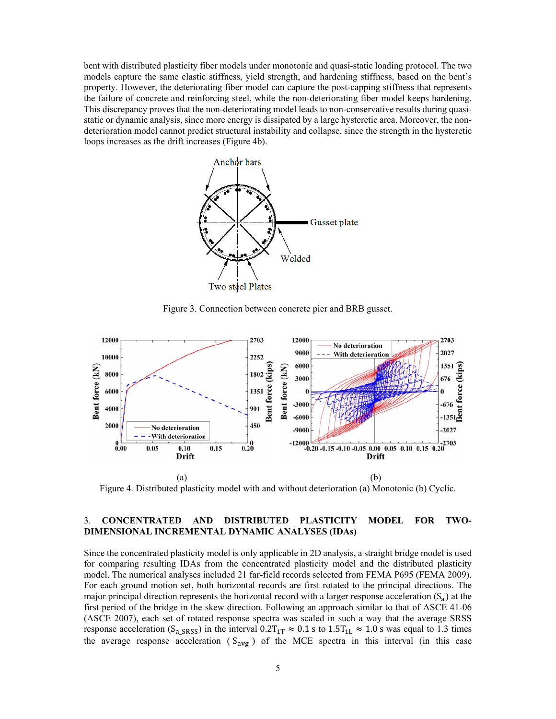bent with distributed plasticity fiber models under monotonic and quasi-static loading protocol. The two models capture the same elastic stiffness, yield strength, and hardening stiffness, based on the bent's property. However, the deteriorating fiber model can capture the post-capping stiffness that represents the failure of concrete and reinforcing steel, while the non-deteriorating fiber model keeps hardening. This discrepancy proves that the non-deteriorating model leads to non-conservative results during quasistatic or dynamic analysis, since more energy is dissipated by a large hysteretic area. Moreover, the nondeterioration model cannot predict structural instability and collapse, since the strength in the hysteretic loops increases as the drift increases (Figure 4b).



Figure 3. Connection between concrete pier and BRB gusset.



Figure 4. Distributed plasticity model with and without deterioration (a) Monotonic (b) Cyclic.

# 3. **CONCENTRATED AND DISTRIBUTED PLASTICITY MODEL FOR TWO-DIMENSIONAL INCREMENTAL DYNAMIC ANALYSES (IDAs)**

Since the concentrated plasticity model is only applicable in 2D analysis, a straight bridge model is used for comparing resulting IDAs from the concentrated plasticity model and the distributed plasticity model. The numerical analyses included 21 far-field records selected from FEMA P695 (FEMA 2009). For each ground motion set, both horizontal records are first rotated to the principal directions. The major principal direction represents the horizontal record with a larger response acceleration  $(S_a)$  at the first period of the bridge in the skew direction. Following an approach similar to that of ASCE 41-06 (ASCE 2007), each set of rotated response spectra was scaled in such a way that the average SRSS response acceleration (S<sub>a SRSS</sub>) in the interval  $0.2T_{1T} \approx 0.1 \text{ s}$  to  $1.5T_{1L} \approx 1.0 \text{ s}$  was equal to 1.3 times the average response acceleration ( $S_{avg}$ ) of the MCE spectra in this interval (in this case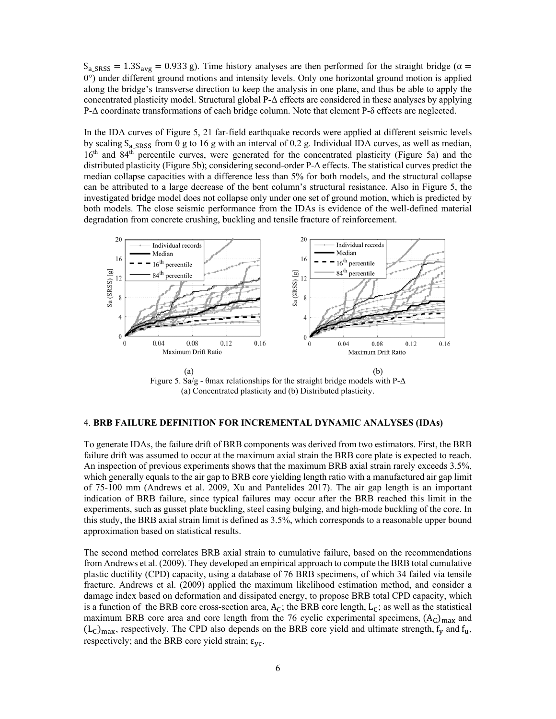$S_{a\_SRSS} = 1.3S_{avg} = 0.933$  g). Time history analyses are then performed for the straight bridge ( $\alpha =$ 0°) under different ground motions and intensity levels. Only one horizontal ground motion is applied along the bridge's transverse direction to keep the analysis in one plane, and thus be able to apply the concentrated plasticity model. Structural global P-Δ effects are considered in these analyses by applying P-Δ coordinate transformations of each bridge column. Note that element P-δ effects are neglected.

In the IDA curves of Figure 5, 21 far-field earthquake records were applied at different seismic levels by scaling  $S_a$  s<sub>RSS</sub> from 0 g to 16 g with an interval of 0.2 g. Individual IDA curves, as well as median, 16<sup>th</sup> and 84<sup>th</sup> percentile curves, were generated for the concentrated plasticity (Figure 5a) and the distributed plasticity (Figure 5b); considering second-order P-Δ effects. The statistical curves predict the median collapse capacities with a difference less than 5% for both models, and the structural collapse can be attributed to a large decrease of the bent column's structural resistance. Also in Figure 5, the investigated bridge model does not collapse only under one set of ground motion, which is predicted by both models. The close seismic performance from the IDAs is evidence of the well-defined material degradation from concrete crushing, buckling and tensile fracture of reinforcement.



Figure 5. Sa/g - θmax relationships for the straight bridge models with  $P-\Delta$ (a) Concentrated plasticity and (b) Distributed plasticity.

#### 4. **BRB FAILURE DEFINITION FOR INCREMENTAL DYNAMIC ANALYSES (IDAs)**

To generate IDAs, the failure drift of BRB components was derived from two estimators. First, the BRB failure drift was assumed to occur at the maximum axial strain the BRB core plate is expected to reach. An inspection of previous experiments shows that the maximum BRB axial strain rarely exceeds 3.5%, which generally equals to the air gap to BRB core yielding length ratio with a manufactured air gap limit of 75-100 mm (Andrews et al. 2009, Xu and Pantelides 2017). The air gap length is an important indication of BRB failure, since typical failures may occur after the BRB reached this limit in the experiments, such as gusset plate buckling, steel casing bulging, and high-mode buckling of the core. In this study, the BRB axial strain limit is defined as 3.5%, which corresponds to a reasonable upper bound approximation based on statistical results.

The second method correlates BRB axial strain to cumulative failure, based on the recommendations from Andrews et al. (2009). They developed an empirical approach to compute the BRB total cumulative plastic ductility (CPD) capacity, using a database of 76 BRB specimens, of which 34 failed via tensile fracture. Andrews et al. (2009) applied the maximum likelihood estimation method, and consider a damage index based on deformation and dissipated energy, to propose BRB total CPD capacity, which is a function of the BRB core cross-section area,  $A_C$ ; the BRB core length,  $L_C$ ; as well as the statistical maximum BRB core area and core length from the 76 cyclic experimental specimens,  $(A<sub>C</sub>)<sub>max</sub>$  and  $(L<sub>C</sub>)<sub>max</sub>$ , respectively. The CPD also depends on the BRB core yield and ultimate strength,  $f<sub>v</sub>$  and  $f<sub>u</sub>$ , respectively; and the BRB core yield strain;  $\varepsilon_{\text{vc}}$ .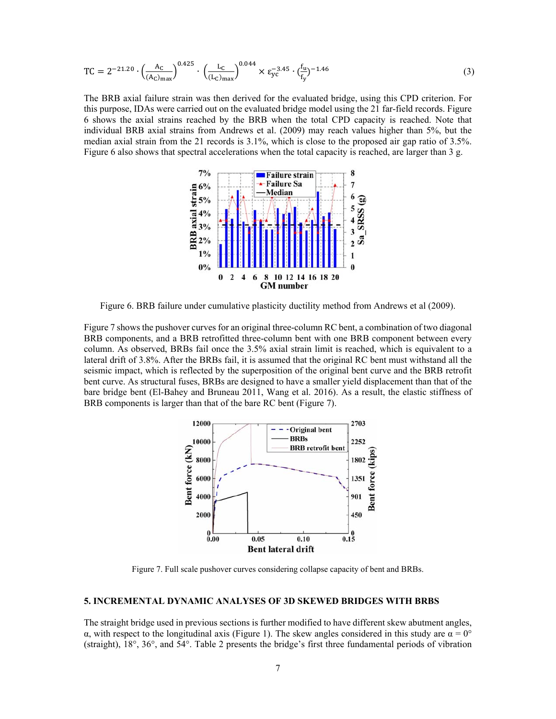$$
TC = 2^{-21.20} \cdot \left(\frac{A_C}{(A_C)_{max}}\right)^{0.425} \cdot \left(\frac{L_C}{(L_C)_{max}}\right)^{0.044} \times \varepsilon_{yc}^{-3.45} \cdot \left(\frac{f_u}{f_y}\right)^{-1.46} \tag{3}
$$

The BRB axial failure strain was then derived for the evaluated bridge, using this CPD criterion. For this purpose, IDAs were carried out on the evaluated bridge model using the 21 far-field records. Figure 6 shows the axial strains reached by the BRB when the total CPD capacity is reached. Note that individual BRB axial strains from Andrews et al. (2009) may reach values higher than 5%, but the median axial strain from the 21 records is 3.1%, which is close to the proposed air gap ratio of 3.5%. Figure 6 also shows that spectral accelerations when the total capacity is reached, are larger than 3 g.



Figure 6. BRB failure under cumulative plasticity ductility method from Andrews et al (2009).

Figure 7 shows the pushover curves for an original three-column RC bent, a combination of two diagonal BRB components, and a BRB retrofitted three-column bent with one BRB component between every column. As observed, BRBs fail once the 3.5% axial strain limit is reached, which is equivalent to a lateral drift of 3.8%. After the BRBs fail, it is assumed that the original RC bent must withstand all the seismic impact, which is reflected by the superposition of the original bent curve and the BRB retrofit bent curve. As structural fuses, BRBs are designed to have a smaller yield displacement than that of the bare bridge bent (El-Bahey and Bruneau 2011, Wang et al. 2016). As a result, the elastic stiffness of BRB components is larger than that of the bare RC bent (Figure 7).



Figure 7. Full scale pushover curves considering collapse capacity of bent and BRBs.

# **5. INCREMENTAL DYNAMIC ANALYSES OF 3D SKEWED BRIDGES WITH BRBS**

The straight bridge used in previous sections is further modified to have different skew abutment angles, α, with respect to the longitudinal axis (Figure 1). The skew angles considered in this study are  $\alpha = 0^{\circ}$ (straight), 18°, 36°, and 54°. Table 2 presents the bridge's first three fundamental periods of vibration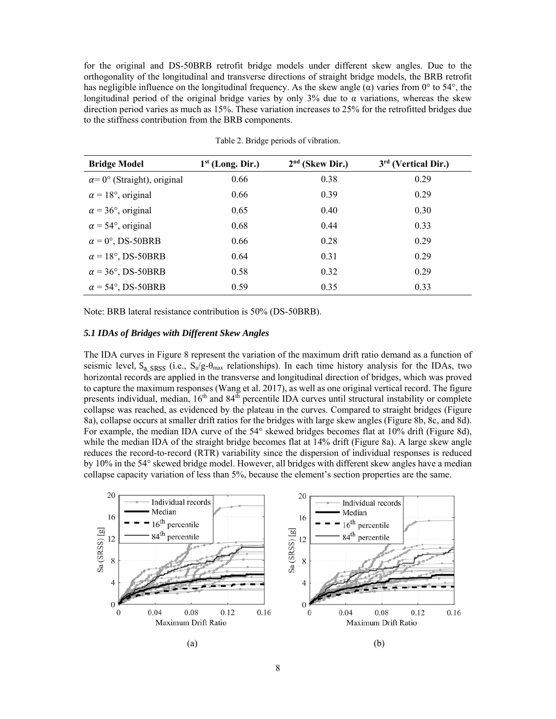for the original and DS-50BRB retrofit bridge models under different skew angles. Due to the orthogonality of the longitudinal and transverse directions of straight bridge models, the BRB retrofit has negligible influence on the longitudinal frequency. As the skew angle  $(\alpha)$  varies from 0° to 54°, the longitudinal period of the original bridge varies by only 3% due to  $\alpha$  variations, whereas the skew direction period varies as much as 15%. These variation increases to 25% for the retrofitted bridges due to the stiffness contribution from the BRB components.

| <b>Bridge Model</b>                | $1st$ (Long. Dir.) | $2nd$ (Skew Dir.) | $3rd$ (Vertical Dir.) |
|------------------------------------|--------------------|-------------------|-----------------------|
| $\alpha$ = 0° (Straight), original | 0.66               | 0.38              | 0.29                  |
| $\alpha$ = 18°, original           | 0.66               | 0.39              | 0.29                  |
| $\alpha$ = 36°, original           | 0.65               | 0.40              | 0.30                  |
| $\alpha$ = 54°, original           | 0.68               | 0.44              | 0.33                  |
| $\alpha = 0^{\circ}$ , DS-50BRB    | 0.66               | 0.28              | 0.29                  |
| $\alpha = 18^{\circ}$ , DS-50BRB   | 0.64               | 0.31              | 0.29                  |
| $\alpha$ = 36°, DS-50BRB           | 0.58               | 0.32              | 0.29                  |
| $\alpha$ = 54°, DS-50BRB           | 0.59               | 0.35              | 0.33                  |

Table 2. Bridge periods of vibration.

Note: BRB lateral resistance contribution is 50% (DS-50BRB).

### *5.1 IDAs of Bridges with Different Skew Angles*

The IDA curves in Figure 8 represent the variation of the maximum drift ratio demand as a function of seismic level,  $S_{a \text{ SRSS}}$  (i.e.,  $S_{a}/g$ - $\theta_{\text{max}}$  relationships). In each time history analysis for the IDAs, two horizontal records are applied in the transverse and longitudinal direction of bridges, which was proved to capture the maximum responses (Wang et al. 2017), as well as one original vertical record. The figure presents individual, median,  $16<sup>th</sup>$  and  $84<sup>th</sup>$  percentile IDA curves until structural instability or complete collapse was reached, as evidenced by the plateau in the curves. Compared to straight bridges (Figure 8a), collapse occurs at smaller drift ratios for the bridges with large skew angles (Figure 8b, 8c, and 8d). For example, the median IDA curve of the 54° skewed bridges becomes flat at 10% drift (Figure 8d), while the median IDA of the straight bridge becomes flat at 14% drift (Figure 8a). A large skew angle reduces the record-to-record (RTR) variability since the dispersion of individual responses is reduced by 10% in the 54° skewed bridge model. However, all bridges with different skew angles have a median collapse capacity variation of less than 5%, because the element's section properties are the same.

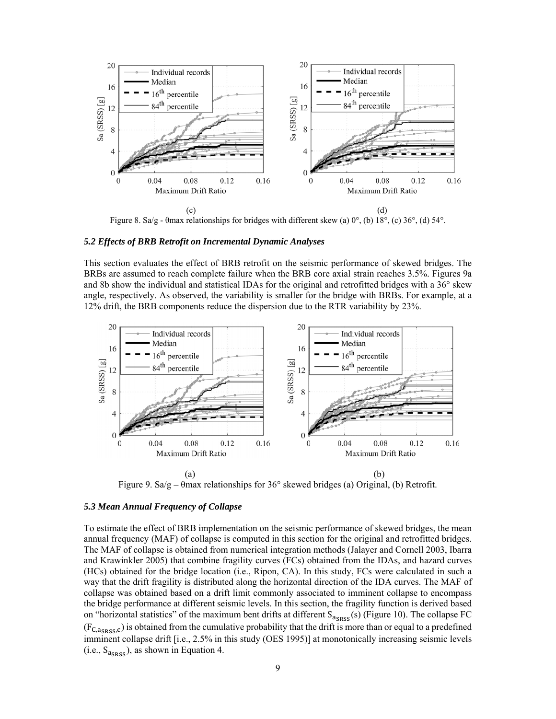

Figure 8. Sa/g - θmax relationships for bridges with different skew (a) 0°, (b) 18°, (c) 36°, (d) 54°.

### *5.2 Effects of BRB Retrofit on Incremental Dynamic Analyses*

This section evaluates the effect of BRB retrofit on the seismic performance of skewed bridges. The BRBs are assumed to reach complete failure when the BRB core axial strain reaches 3.5%. Figures 9a and 8b show the individual and statistical IDAs for the original and retrofitted bridges with a 36° skew angle, respectively. As observed, the variability is smaller for the bridge with BRBs. For example, at a 12% drift, the BRB components reduce the dispersion due to the RTR variability by 23%.



Figure 9. Sa/g –  $\theta$ max relationships for 36° skewed bridges (a) Original, (b) Retrofit.

### *5.3 Mean Annual Frequency of Collapse*

To estimate the effect of BRB implementation on the seismic performance of skewed bridges, the mean annual frequency (MAF) of collapse is computed in this section for the original and retrofitted bridges. The MAF of collapse is obtained from numerical integration methods (Jalayer and Cornell 2003, Ibarra and Krawinkler 2005) that combine fragility curves (FCs) obtained from the IDAs, and hazard curves (HCs) obtained for the bridge location (i.e., Ripon, CA). In this study, FCs were calculated in such a way that the drift fragility is distributed along the horizontal direction of the IDA curves. The MAF of collapse was obtained based on a drift limit commonly associated to imminent collapse to encompass the bridge performance at different seismic levels. In this section, the fragility function is derived based on "horizontal statistics" of the maximum bent drifts at different  $S_{\text{a}S}(s)$  (Figure 10). The collapse FC  $(F_{C, \alpha_{SRS,C}})$  is obtained from the cumulative probability that the drift is more than or equal to a predefined imminent collapse drift [i.e., 2.5% in this study (OES 1995)] at monotonically increasing seismic levels (i.e.,  $S_{\text{acps}}$ ), as shown in Equation 4.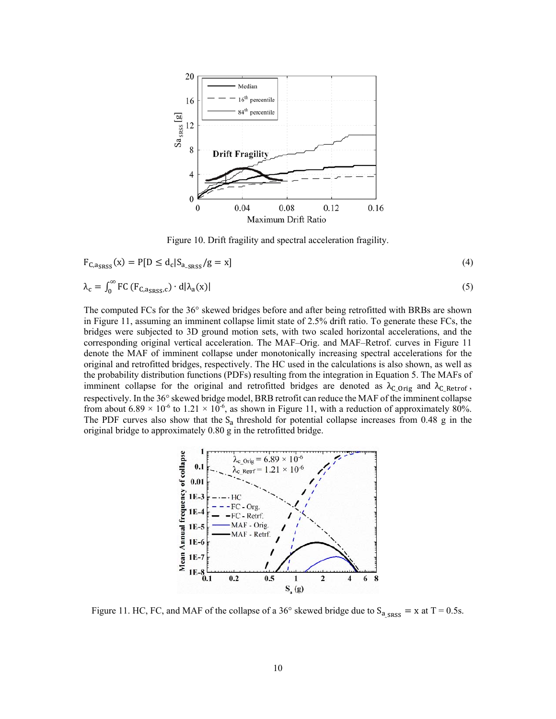

Figure 10. Drift fragility and spectral acceleration fragility.

$$
F_{C,a_{SRSS}}(x) = P[D \le d_c | S_{a_{SRSS}} / g = x]
$$
\n
$$
\tag{4}
$$

$$
\lambda_{\rm c} = \int_0^\infty \rm{FC} \left( F_{C, \rm{a}_{SRSS}, c} \right) \cdot d|\lambda_{\rm a}(x)| \tag{5}
$$

The computed FCs for the 36° skewed bridges before and after being retrofitted with BRBs are shown in Figure 11, assuming an imminent collapse limit state of 2.5% drift ratio. To generate these FCs, the bridges were subjected to 3D ground motion sets, with two scaled horizontal accelerations, and the corresponding original vertical acceleration. The MAF–Orig. and MAF–Retrof. curves in Figure 11 denote the MAF of imminent collapse under monotonically increasing spectral accelerations for the original and retrofitted bridges, respectively. The HC used in the calculations is also shown, as well as the probability distribution functions (PDFs) resulting from the integration in Equation 5. The MAFs of imminent collapse for the original and retrofitted bridges are denoted as  $\lambda_{C\_{Orig}}$  and  $\lambda_{C\_{Retrof}}$ , respectively. In the 36° skewed bridge model, BRB retrofit can reduce the MAF of the imminent collapse from about 6.89  $\times$  10<sup>-6</sup> to 1.21  $\times$  10<sup>-6</sup>, as shown in Figure 11, with a reduction of approximately 80%. The PDF curves also show that the  $S_a$  threshold for potential collapse increases from 0.48 g in the original bridge to approximately 0.80 g in the retrofitted bridge.



Figure 11. HC, FC, and MAF of the collapse of a 36° skewed bridge due to  $S_{a \text{ sRSS}} = x$  at T = 0.5s.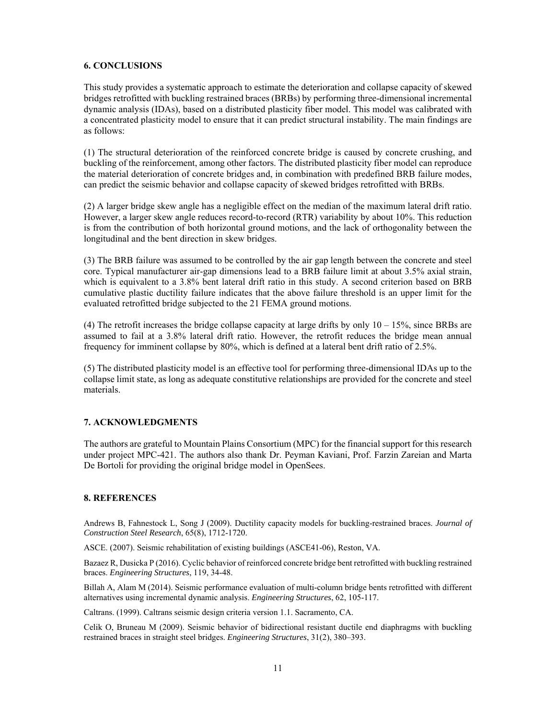# **6. CONCLUSIONS**

This study provides a systematic approach to estimate the deterioration and collapse capacity of skewed bridges retrofitted with buckling restrained braces (BRBs) by performing three-dimensional incremental dynamic analysis (IDAs), based on a distributed plasticity fiber model. This model was calibrated with a concentrated plasticity model to ensure that it can predict structural instability. The main findings are as follows:

(1) The structural deterioration of the reinforced concrete bridge is caused by concrete crushing, and buckling of the reinforcement, among other factors. The distributed plasticity fiber model can reproduce the material deterioration of concrete bridges and, in combination with predefined BRB failure modes, can predict the seismic behavior and collapse capacity of skewed bridges retrofitted with BRBs.

(2) A larger bridge skew angle has a negligible effect on the median of the maximum lateral drift ratio. However, a larger skew angle reduces record-to-record (RTR) variability by about 10%. This reduction is from the contribution of both horizontal ground motions, and the lack of orthogonality between the longitudinal and the bent direction in skew bridges.

(3) The BRB failure was assumed to be controlled by the air gap length between the concrete and steel core. Typical manufacturer air-gap dimensions lead to a BRB failure limit at about 3.5% axial strain, which is equivalent to a 3.8% bent lateral drift ratio in this study. A second criterion based on BRB cumulative plastic ductility failure indicates that the above failure threshold is an upper limit for the evaluated retrofitted bridge subjected to the 21 FEMA ground motions.

(4) The retrofit increases the bridge collapse capacity at large drifts by only  $10 - 15\%$ , since BRBs are assumed to fail at a 3.8% lateral drift ratio. However, the retrofit reduces the bridge mean annual frequency for imminent collapse by 80%, which is defined at a lateral bent drift ratio of 2.5%.

(5) The distributed plasticity model is an effective tool for performing three-dimensional IDAs up to the collapse limit state, as long as adequate constitutive relationships are provided for the concrete and steel materials.

# **7. ACKNOWLEDGMENTS**

The authors are grateful to Mountain Plains Consortium (MPC) for the financial support for this research under project MPC-421. The authors also thank Dr. Peyman Kaviani, Prof. Farzin Zareian and Marta De Bortoli for providing the original bridge model in OpenSees.

### **8. REFERENCES**

Andrews B, Fahnestock L, Song J (2009). Ductility capacity models for buckling-restrained braces. *Journal of Construction Steel Research*, 65(8), 1712-1720.

ASCE. (2007). Seismic rehabilitation of existing buildings (ASCE41-06), Reston, VA.

Bazaez R, Dusicka P (2016). Cyclic behavior of reinforced concrete bridge bent retrofitted with buckling restrained braces. *Engineering Structures*, 119, 34-48.

Billah A, Alam M (2014). Seismic performance evaluation of multi-column bridge bents retrofitted with different alternatives using incremental dynamic analysis. *Engineering Structures*, 62, 105-117.

Caltrans. (1999). Caltrans seismic design criteria version 1.1. Sacramento, CA.

Celik O, Bruneau M (2009). Seismic behavior of bidirectional resistant ductile end diaphragms with buckling restrained braces in straight steel bridges. *Engineering Structures*, 31(2), 380–393.